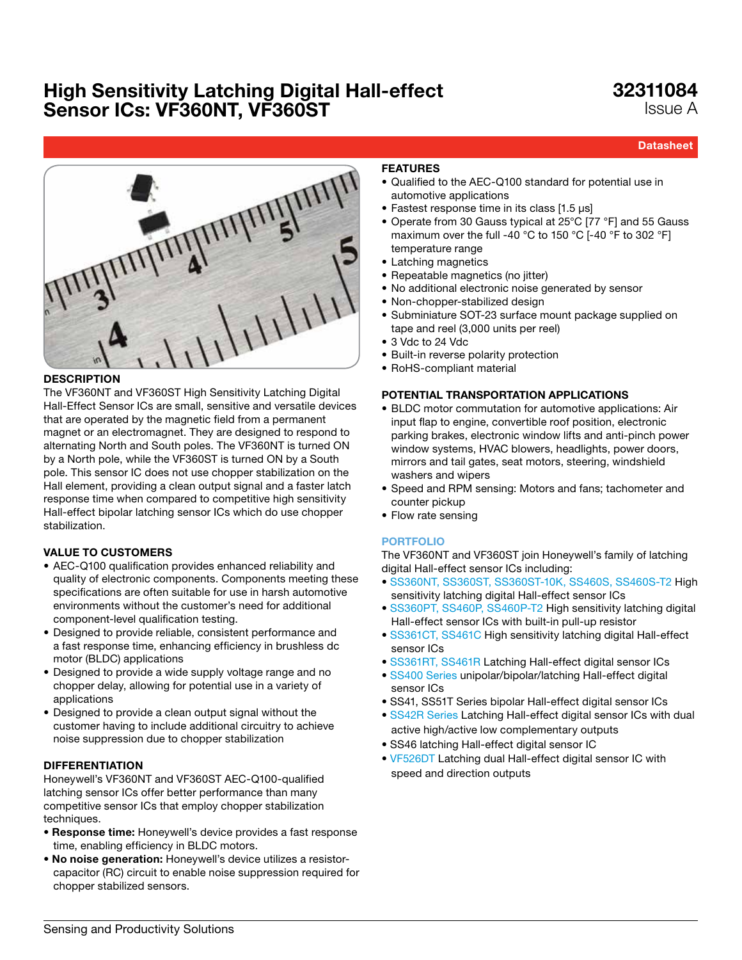### 32311084 Issue A

**Datasheet** 



### **DESCRIPTION**

The VF360NT and VF360ST High Sensitivity Latching Digital Hall-Effect Sensor ICs are small, sensitive and versatile devices that are operated by the magnetic field from a permanent magnet or an electromagnet. They are designed to respond to alternating North and South poles. The VF360NT is turned ON by a North pole, while the VF360ST is turned ON by a South pole. This sensor IC does not use chopper stabilization on the Hall element, providing a clean output signal and a faster latch response time when compared to competitive high sensitivity Hall-effect bipolar latching sensor ICs which do use chopper stabilization.

### VALUE TO CUSTOMERS

- AEC-Q100 qualification provides enhanced reliability and quality of electronic components. Components meeting these specifications are often suitable for use in harsh automotive environments without the customer's need for additional component-level qualification testing.
- Designed to provide reliable, consistent performance and a fast response time, enhancing efficiency in brushless dc motor (BLDC) applications
- Designed to provide a wide supply voltage range and no chopper delay, allowing for potential use in a variety of applications
- Designed to provide a clean output signal without the customer having to include additional circuitry to achieve noise suppression due to chopper stabilization

#### DIFFERENTIATION

Honeywell's VF360NT and VF360ST AEC-Q100-qualified latching sensor ICs offer better performance than many competitive sensor ICs that employ chopper stabilization techniques.

- Response time: Honeywell's device provides a fast response time, enabling efficiency in BLDC motors.
- No noise generation: Honeywell's device utilizes a resistorcapacitor (RC) circuit to enable noise suppression required for chopper stabilized sensors.

### FEATURES

- Qualified to the AEC-Q100 standard for potential use in automotive applications
- Fastest response time in its class [1.5 μs]
- Operate from 30 Gauss typical at 25°C [77 °F] and 55 Gauss maximum over the full -40 °C to 150 °C [-40 °F to 302 °F] temperature range
- Latching magnetics
- Repeatable magnetics (no jitter)
- No additional electronic noise generated by sensor
- Non-chopper-stabilized design
- Subminiature SOT-23 surface mount package supplied on tape and reel (3,000 units per reel)
- 3 Vdc to 24 Vdc
- Built-in reverse polarity protection
- RoHS-compliant material

### POTENTIAL TRANSPORTATION APPLICATIONS

- BLDC motor commutation for automotive applications: Air input flap to engine, convertible roof position, electronic parking brakes, electronic window lifts and anti-pinch power window systems, HVAC blowers, headlights, power doors, mirrors and tail gates, seat motors, steering, windshield washers and wipers
- Speed and RPM sensing: Motors and fans; tachometer and counter pickup
- Flow rate sensing

### [PORTFOLIO](http://sensing.honeywell.com/index.php?ci_id=54924)

The VF360NT and VF360ST join Honeywell's family of latching digital Hall-effect sensor ICs including:

- • [SS360NT, SS360ST, SS360ST-10K, SS460S, SS460S-T2](http://sensing.honeywell.com/index.php?ci_id=143521) High sensitivity latching digital Hall-effect sensor ICs
- • [SS360PT, SS460P, SS460P-T2](http://sensing.honeywell.com/index.php?ci_id=147406) High sensitivity latching digital Hall-effect sensor ICs with built-in pull-up resistor
- • [SS361CT, SS461C](http://sensing.honeywell.com/index.php?ci_id=45647) High sensitivity latching digital Hall-effect sensor ICs
- • [SS361RT, SS461R](http://sensing.honeywell.com/index.php?ci_id=49635) Latching Hall-effect digital sensor ICs
- [SS400](http://sensing.honeywell.com/index.php?ci_id=143161) Series unipolar/bipolar/latching Hall-effect digital sensor ICs
- SS41, SS51T Series bipolar Hall-effect digital sensor ICs
- [SS42R Series L](http://sensing.honeywell.com/index.php?ci_id=50357)atching Hall-effect digital sensor ICs with dual active high/active low complementary outputs
- SS46 latching Hall-effect digital sensor IC
- [VF526DT](http://sensing.honeywell.com/index.php?ci_id=51623) Latching dual Hall-effect digital sensor IC with speed and direction outputs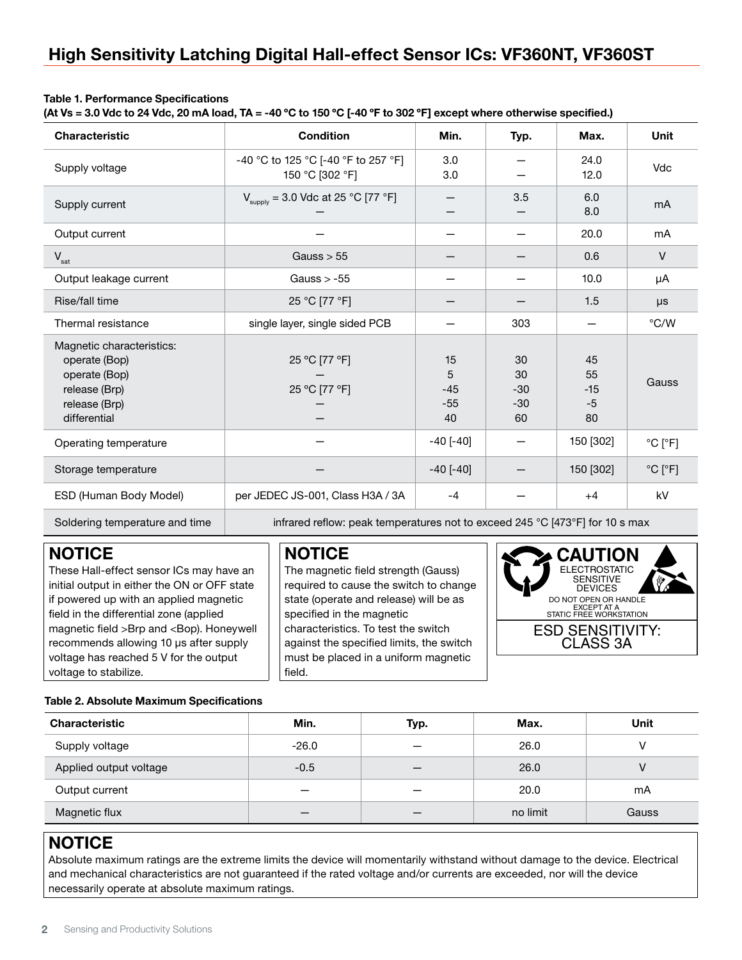### Table 1. Performance Specifications

(At Vs = 3.0 Vdc to 24 Vdc, 20 mA load, TA = -40 °C to 150 °C [-40 °F to 302 °F] except where otherwise specified.)

| Characteristic                                                                                                | <b>Condition</b>                                                             | Min.                            | Typ.                             | Max.                            | <b>Unit</b>                  |
|---------------------------------------------------------------------------------------------------------------|------------------------------------------------------------------------------|---------------------------------|----------------------------------|---------------------------------|------------------------------|
| Supply voltage                                                                                                | -40 °C to 125 °C [-40 °F to 257 °F]<br>150 °C [302 °F]                       | 3.0<br>3.0                      |                                  | 24.0<br>12.0                    | Vdc                          |
| Supply current                                                                                                | $V_{\text{supply}} = 3.0 \text{ Vdc at } 25 \text{ °C} [77 \text{ °F}]$      |                                 | 3.5                              | 6.0<br>8.0                      | mA                           |
| Output current                                                                                                |                                                                              |                                 |                                  | 20.0                            | mA                           |
| $V_{\text{sat}}$                                                                                              | Gauss $> 55$                                                                 |                                 |                                  | 0.6                             | $\vee$                       |
| Output leakage current                                                                                        | Gauss $> -55$                                                                |                                 |                                  | 10.0                            | μA                           |
| Rise/fall time                                                                                                | 25 °C [77 °F]                                                                |                                 |                                  | 1.5                             | $\mu s$                      |
| Thermal resistance                                                                                            | single layer, single sided PCB                                               |                                 | 303                              |                                 | $\degree$ C/W                |
| Magnetic characteristics:<br>operate (Bop)<br>operate (Bop)<br>release (Brp)<br>release (Brp)<br>differential | 25 °C [77 °F]<br>25 °C [77 °F]                                               | 15<br>5<br>$-45$<br>$-55$<br>40 | 30<br>30<br>$-30$<br>$-30$<br>60 | 45<br>55<br>$-15$<br>$-5$<br>80 | Gauss                        |
| Operating temperature                                                                                         |                                                                              | $-40$ [ $-40$ ]                 |                                  | 150 [302]                       | $^{\circ}$ C [ $^{\circ}$ F] |
| Storage temperature                                                                                           |                                                                              | $-40$ [ $-40$ ]                 |                                  | 150 [302]                       | $^{\circ}$ C [ $^{\circ}$ F] |
| ESD (Human Body Model)                                                                                        | per JEDEC JS-001, Class H3A / 3A                                             | $-4$                            |                                  | $+4$                            | kV                           |
| Soldering temperature and time                                                                                | infrared reflow: peak temperatures not to exceed 245 °C [473°F] for 10 s max |                                 |                                  |                                 |                              |

### NOTICE

These Hall-effect sensor ICs may have an initial output in either the ON or OFF state if powered up with an applied magnetic field in the differential zone (applied magnetic field >Brp and <Bop). Honeywell recommends allowing 10 μs after supply voltage has reached 5 V for the output voltage to stabilize.

### NOTICE

The magnetic field strength (Gauss) required to cause the switch to change state (operate and release) will be as specified in the magnetic characteristics. To test the switch against the specified limits, the switch must be placed in a uniform magnetic field.



### Table 2. Absolute Maximum Specifications

| <b>Characteristic</b>  | Min.    | Typ. | Max.     | Unit  |
|------------------------|---------|------|----------|-------|
| Supply voltage         | $-26.0$ | –    | 26.0     |       |
| Applied output voltage | $-0.5$  | –    | 26.0     | ۷     |
| Output current         | _       | –    | 20.0     | mA    |
| Magnetic flux          |         | –    | no limit | Gauss |

### **NOTICE**

Absolute maximum ratings are the extreme limits the device will momentarily withstand without damage to the device. Electrical and mechanical characteristics are not guaranteed if the rated voltage and/or currents are exceeded, nor will the device necessarily operate at absolute maximum ratings.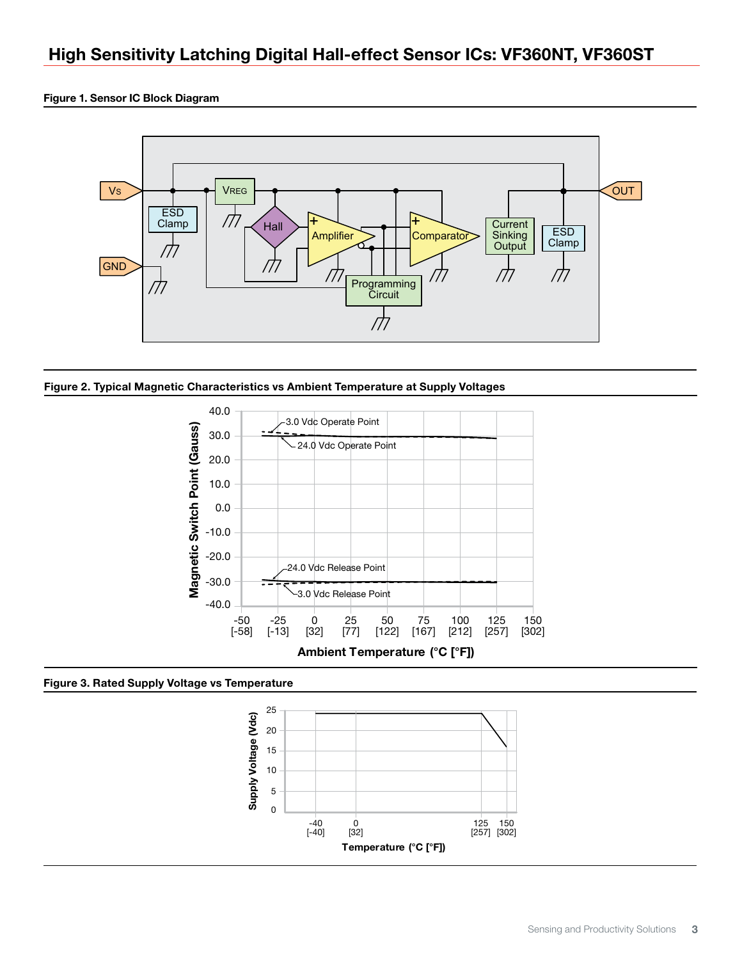#### Figure 1. Sensor IC Block Diagram







Figure 3. Rated Supply Voltage vs Temperature

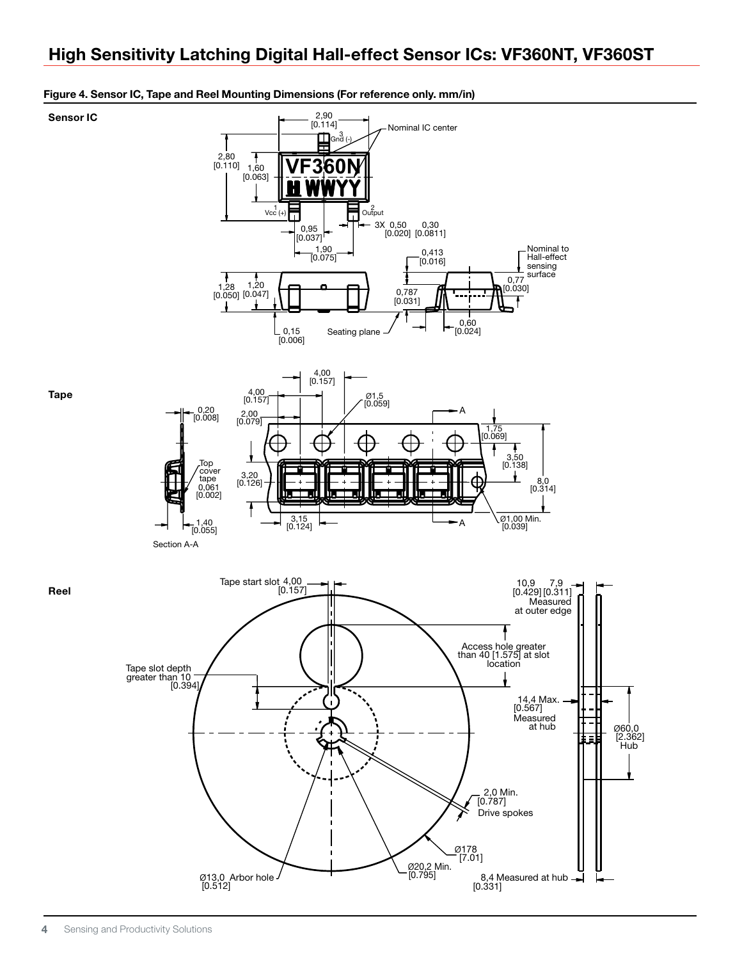

#### Figure 4. Sensor IC, Tape and Reel Mounting Dimensions (For reference only. mm/in)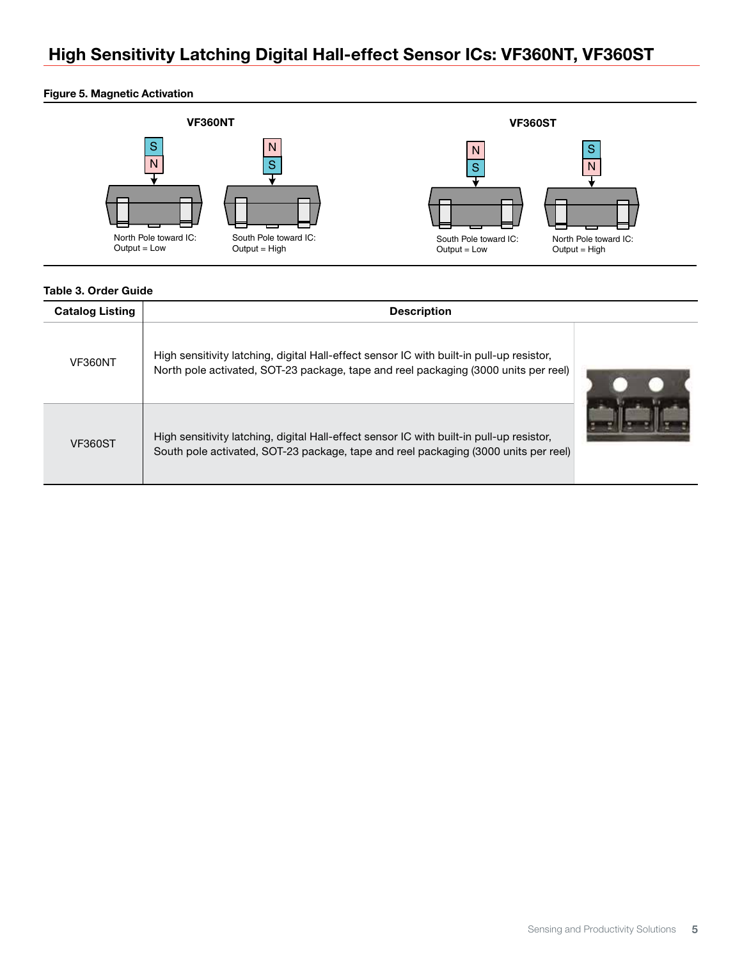### Figure 5. Magnetic Activation



### Table 3. Order Guide

| <b>Catalog Listing</b> | <b>Description</b>                                                                                                                                                              |  |  |
|------------------------|---------------------------------------------------------------------------------------------------------------------------------------------------------------------------------|--|--|
| VF360NT                | High sensitivity latching, digital Hall-effect sensor IC with built-in pull-up resistor,<br>North pole activated, SOT-23 package, tape and reel packaging (3000 units per reel) |  |  |
| <b>VF360ST</b>         | High sensitivity latching, digital Hall-effect sensor IC with built-in pull-up resistor,<br>South pole activated, SOT-23 package, tape and reel packaging (3000 units per reel) |  |  |